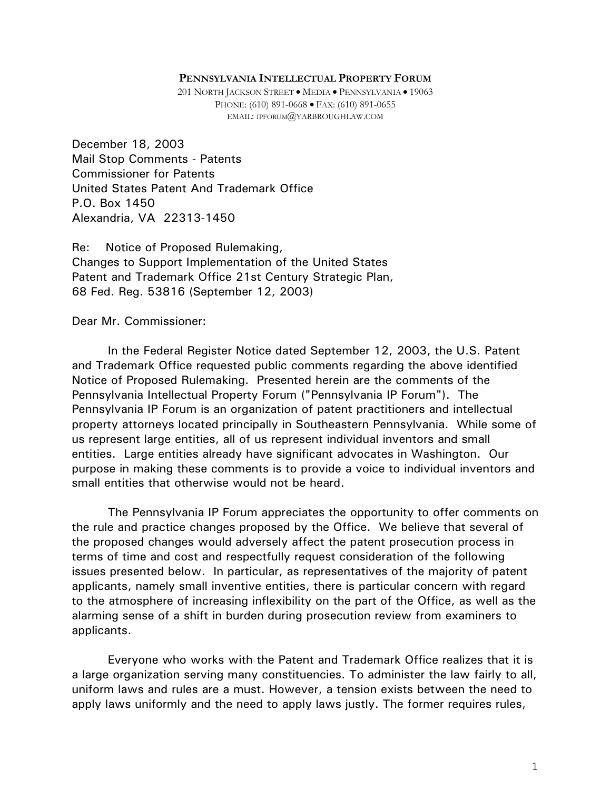201 NORTH JACKSON STREET � MEDIA � PENNSYLVANIA � 19063 PHONE: (610) 891-0668 � FAX: (610) 891-0655 EMAIL: IPFORUM@YARBROUGHLAW.COM

December 18, 2003 Mail Stop Comments - Patents Commissioner for Patents United States Patent And Trademark Office P.O. Box 1450 Alexandria, VA 22313-1450

Re: Notice of Proposed Rulemaking, Changes to Support Implementation of the United States Patent and Trademark Office 21st Century Strategic Plan, 68 Fed. Reg. 53816 (September 12, 2003)

Dear Mr. Commissioner:

In the Federal Register Notice dated September 12, 2003, the U.S. Patent and Trademark Office requested public comments regarding the above identified Notice of Proposed Rulemaking. Presented herein are the comments of the Pennsylvania Intellectual Property Forum ("Pennsylvania IP Forum"). The Pennsylvania IP Forum is an organization of patent practitioners and intellectual property attorneys located principally in Southeastern Pennsylvania. While some of us represent large entities, all of us represent individual inventors and small entities. Large entities already have significant advocates in Washington. Our purpose in making these comments is to provide a voice to individual inventors and small entities that otherwise would not be heard.

The Pennsylvania IP Forum appreciates the opportunity to offer comments on the rule and practice changes proposed by the Office. We believe that several of the proposed changes would adversely affect the patent prosecution process in terms of time and cost and respectfully request consideration of the following issues presented below. In particular, as representatives of the majority of patent applicants, namely small inventive entities, there is particular concern with regard to the atmosphere of increasing inflexibility on the part of the Office, as well as the alarming sense of a shift in burden during prosecution review from examiners to applicants.

Everyone who works with the Patent and Trademark Office realizes that it is a large organization serving many constituencies. To administer the law fairly to all, uniform laws and rules are a must. However, a tension exists between the need to apply laws uniformly and the need to apply laws justly. The former requires rules,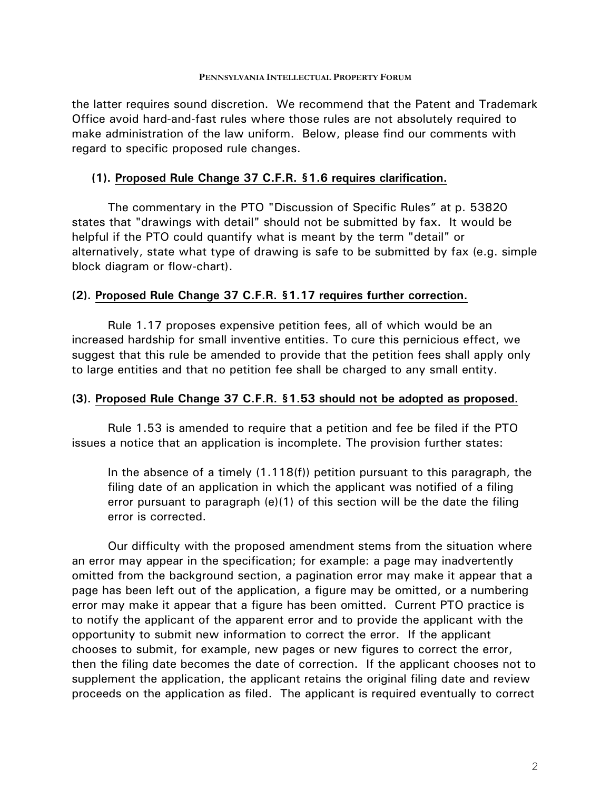the latter requires sound discretion. We recommend that the Patent and Trademark Office avoid hard-and-fast rules where those rules are not absolutely required to make administration of the law uniform. Below, please find our comments with regard to specific proposed rule changes.

# **(1). Proposed Rule Change 37 C.F.R. §1.6 requires clarification.**

The commentary in the PTO "Discussion of Specific Rules" at p. 53820 states that "drawings with detail" should not be submitted by fax. It would be helpful if the PTO could quantify what is meant by the term "detail" or alternatively, state what type of drawing is safe to be submitted by fax (e.g. simple block diagram or flow-chart).

## **(2). Proposed Rule Change 37 C.F.R. §1.17 requires further correction.**

Rule 1.17 proposes expensive petition fees, all of which would be an increased hardship for small inventive entities. To cure this pernicious effect, we suggest that this rule be amended to provide that the petition fees shall apply only to large entities and that no petition fee shall be charged to any small entity.

### **(3). Proposed Rule Change 37 C.F.R. §1.53 should not be adopted as proposed.**

Rule 1.53 is amended to require that a petition and fee be filed if the PTO issues a notice that an application is incomplete. The provision further states:

In the absence of a timely (1.118(f)) petition pursuant to this paragraph, the filing date of an application in which the applicant was notified of a filing error pursuant to paragraph (e)(1) of this section will be the date the filing error is corrected.

Our difficulty with the proposed amendment stems from the situation where an error may appear in the specification; for example: a page may inadvertently omitted from the background section, a pagination error may make it appear that a page has been left out of the application, a figure may be omitted, or a numbering error may make it appear that a figure has been omitted. Current PTO practice is to notify the applicant of the apparent error and to provide the applicant with the opportunity to submit new information to correct the error. If the applicant chooses to submit, for example, new pages or new figures to correct the error, then the filing date becomes the date of correction. If the applicant chooses not to supplement the application, the applicant retains the original filing date and review proceeds on the application as filed. The applicant is required eventually to correct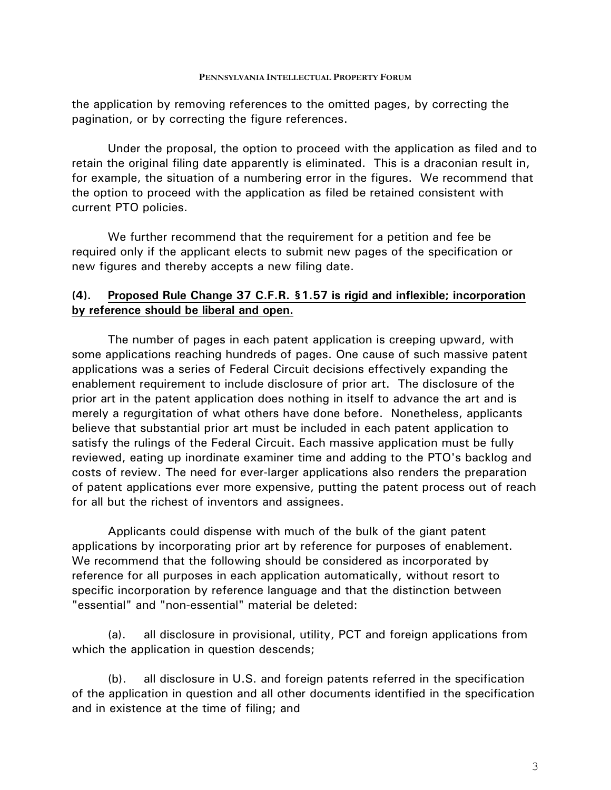the application by removing references to the omitted pages, by correcting the pagination, or by correcting the figure references.

Under the proposal, the option to proceed with the application as filed and to retain the original filing date apparently is eliminated. This is a draconian result in, for example, the situation of a numbering error in the figures. We recommend that the option to proceed with the application as filed be retained consistent with current PTO policies.

We further recommend that the requirement for a petition and fee be required only if the applicant elects to submit new pages of the specification or new figures and thereby accepts a new filing date.

# **(4). Proposed Rule Change 37 C.F.R. §1.57 is rigid and inflexible; incorporation by reference should be liberal and open.**

The number of pages in each patent application is creeping upward, with some applications reaching hundreds of pages. One cause of such massive patent applications was a series of Federal Circuit decisions effectively expanding the enablement requirement to include disclosure of prior art. The disclosure of the prior art in the patent application does nothing in itself to advance the art and is merely a regurgitation of what others have done before. Nonetheless, applicants believe that substantial prior art must be included in each patent application to satisfy the rulings of the Federal Circuit. Each massive application must be fully reviewed, eating up inordinate examiner time and adding to the PTO's backlog and costs of review. The need for ever-larger applications also renders the preparation of patent applications ever more expensive, putting the patent process out of reach for all but the richest of inventors and assignees.

Applicants could dispense with much of the bulk of the giant patent applications by incorporating prior art by reference for purposes of enablement. We recommend that the following should be considered as incorporated by reference for all purposes in each application automatically, without resort to specific incorporation by reference language and that the distinction between "essential" and "non-essential" material be deleted:

(a). all disclosure in provisional, utility, PCT and foreign applications from which the application in question descends;

(b). all disclosure in U.S. and foreign patents referred in the specification of the application in question and all other documents identified in the specification and in existence at the time of filing; and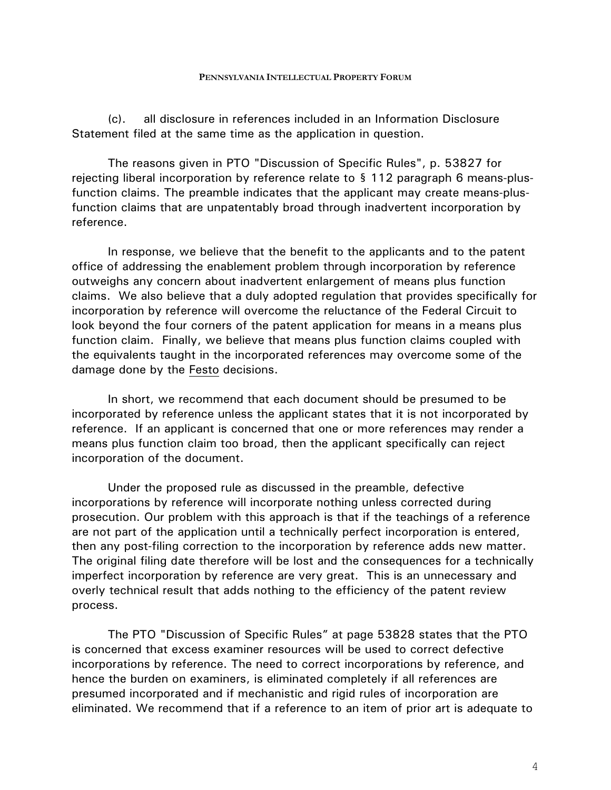(c). all disclosure in references included in an Information Disclosure Statement filed at the same time as the application in question.

The reasons given in PTO "Discussion of Specific Rules", p. 53827 for rejecting liberal incorporation by reference relate to § 112 paragraph 6 means-plusfunction claims. The preamble indicates that the applicant may create means-plusfunction claims that are unpatentably broad through inadvertent incorporation by reference.

In response, we believe that the benefit to the applicants and to the patent office of addressing the enablement problem through incorporation by reference outweighs any concern about inadvertent enlargement of means plus function claims. We also believe that a duly adopted regulation that provides specifically for incorporation by reference will overcome the reluctance of the Federal Circuit to look beyond the four corners of the patent application for means in a means plus function claim. Finally, we believe that means plus function claims coupled with the equivalents taught in the incorporated references may overcome some of the damage done by the Festo decisions.

In short, we recommend that each document should be presumed to be incorporated by reference unless the applicant states that it is not incorporated by reference. If an applicant is concerned that one or more references may render a means plus function claim too broad, then the applicant specifically can reject incorporation of the document.

Under the proposed rule as discussed in the preamble, defective incorporations by reference will incorporate nothing unless corrected during prosecution. Our problem with this approach is that if the teachings of a reference are not part of the application until a technically perfect incorporation is entered, then any post-filing correction to the incorporation by reference adds new matter. The original filing date therefore will be lost and the consequences for a technically imperfect incorporation by reference are very great. This is an unnecessary and overly technical result that adds nothing to the efficiency of the patent review process.

The PTO "Discussion of Specific Rules" at page 53828 states that the PTO is concerned that excess examiner resources will be used to correct defective incorporations by reference. The need to correct incorporations by reference, and hence the burden on examiners, is eliminated completely if all references are presumed incorporated and if mechanistic and rigid rules of incorporation are eliminated. We recommend that if a reference to an item of prior art is adequate to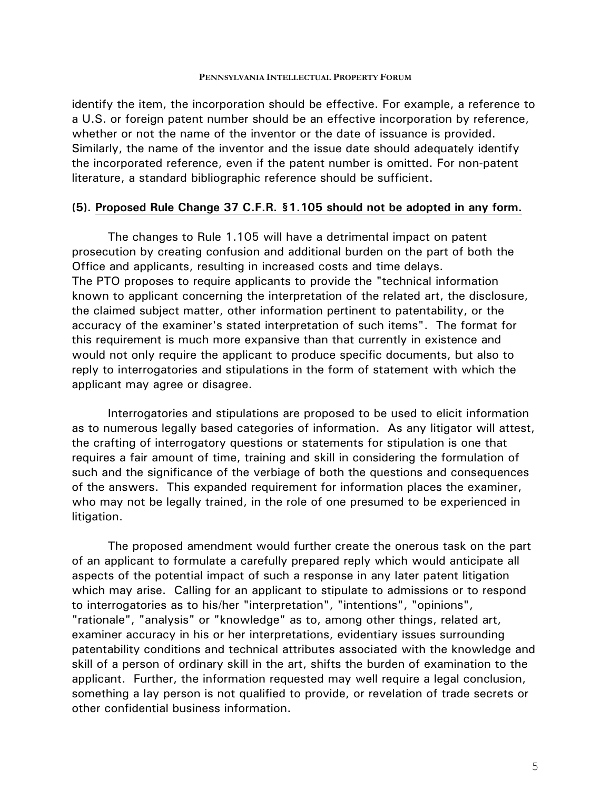identify the item, the incorporation should be effective. For example, a reference to a U.S. or foreign patent number should be an effective incorporation by reference, whether or not the name of the inventor or the date of issuance is provided. Similarly, the name of the inventor and the issue date should adequately identify the incorporated reference, even if the patent number is omitted. For non-patent literature, a standard bibliographic reference should be sufficient.

### **(5). Proposed Rule Change 37 C.F.R. §1.105 should not be adopted in any form.**

The changes to Rule 1.105 will have a detrimental impact on patent prosecution by creating confusion and additional burden on the part of both the Office and applicants, resulting in increased costs and time delays. The PTO proposes to require applicants to provide the "technical information known to applicant concerning the interpretation of the related art, the disclosure, the claimed subject matter, other information pertinent to patentability, or the accuracy of the examiner's stated interpretation of such items". The format for this requirement is much more expansive than that currently in existence and would not only require the applicant to produce specific documents, but also to reply to interrogatories and stipulations in the form of statement with which the applicant may agree or disagree.

Interrogatories and stipulations are proposed to be used to elicit information as to numerous legally based categories of information. As any litigator will attest, the crafting of interrogatory questions or statements for stipulation is one that requires a fair amount of time, training and skill in considering the formulation of such and the significance of the verbiage of both the questions and consequences of the answers. This expanded requirement for information places the examiner, who may not be legally trained, in the role of one presumed to be experienced in litigation.

The proposed amendment would further create the onerous task on the part of an applicant to formulate a carefully prepared reply which would anticipate all aspects of the potential impact of such a response in any later patent litigation which may arise. Calling for an applicant to stipulate to admissions or to respond to interrogatories as to his/her "interpretation", "intentions", "opinions", "rationale", "analysis" or "knowledge" as to, among other things, related art, examiner accuracy in his or her interpretations, evidentiary issues surrounding patentability conditions and technical attributes associated with the knowledge and skill of a person of ordinary skill in the art, shifts the burden of examination to the applicant. Further, the information requested may well require a legal conclusion, something a lay person is not qualified to provide, or revelation of trade secrets or other confidential business information.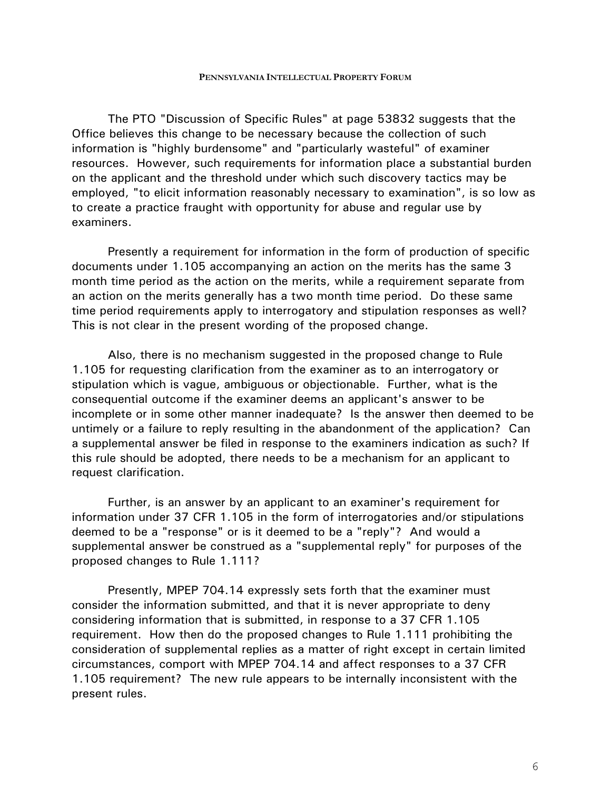The PTO "Discussion of Specific Rules" at page 53832 suggests that the Office believes this change to be necessary because the collection of such information is "highly burdensome" and "particularly wasteful" of examiner resources. However, such requirements for information place a substantial burden on the applicant and the threshold under which such discovery tactics may be employed, "to elicit information reasonably necessary to examination", is so low as to create a practice fraught with opportunity for abuse and regular use by examiners.

Presently a requirement for information in the form of production of specific documents under 1.105 accompanying an action on the merits has the same 3 month time period as the action on the merits, while a requirement separate from an action on the merits generally has a two month time period. Do these same time period requirements apply to interrogatory and stipulation responses as well? This is not clear in the present wording of the proposed change.

Also, there is no mechanism suggested in the proposed change to Rule 1.105 for requesting clarification from the examiner as to an interrogatory or stipulation which is vague, ambiguous or objectionable. Further, what is the consequential outcome if the examiner deems an applicant's answer to be incomplete or in some other manner inadequate? Is the answer then deemed to be untimely or a failure to reply resulting in the abandonment of the application? Can a supplemental answer be filed in response to the examiners indication as such? If this rule should be adopted, there needs to be a mechanism for an applicant to request clarification.

Further, is an answer by an applicant to an examiner's requirement for information under 37 CFR 1.105 in the form of interrogatories and/or stipulations deemed to be a "response" or is it deemed to be a "reply"? And would a supplemental answer be construed as a "supplemental reply" for purposes of the proposed changes to Rule 1.111?

Presently, MPEP 704.14 expressly sets forth that the examiner must consider the information submitted, and that it is never appropriate to deny considering information that is submitted, in response to a 37 CFR 1.105 requirement. How then do the proposed changes to Rule 1.111 prohibiting the consideration of supplemental replies as a matter of right except in certain limited circumstances, comport with MPEP 704.14 and affect responses to a 37 CFR 1.105 requirement? The new rule appears to be internally inconsistent with the present rules.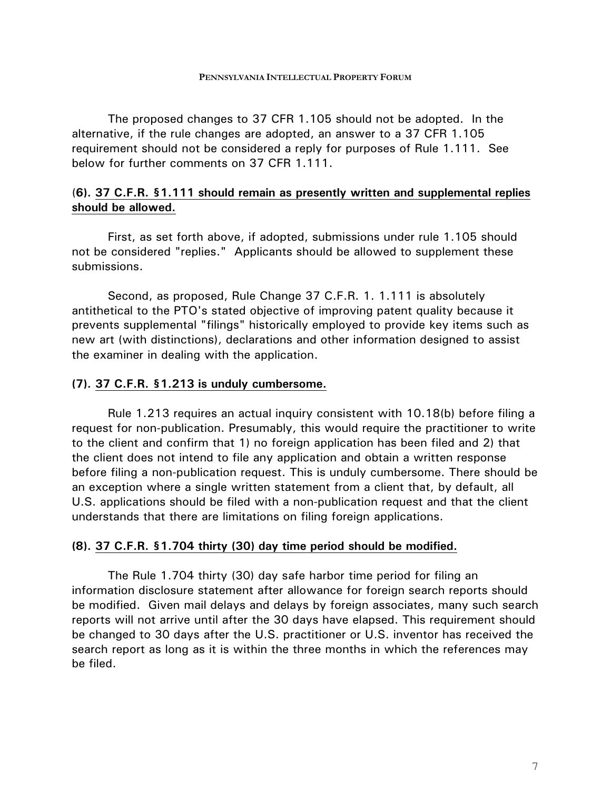The proposed changes to 37 CFR 1.105 should not be adopted. In the alternative, if the rule changes are adopted, an answer to a 37 CFR 1.105 requirement should not be considered a reply for purposes of Rule 1.111. See below for further comments on 37 CFR 1.111.

# (**6). 37 C.F.R. §1.111 should remain as presently written and supplemental replies should be allowed.**

First, as set forth above, if adopted, submissions under rule 1.105 should not be considered "replies." Applicants should be allowed to supplement these submissions.

Second, as proposed, Rule Change 37 C.F.R. 1. 1.111 is absolutely antithetical to the PTO's stated objective of improving patent quality because it prevents supplemental "filings" historically employed to provide key items such as new art (with distinctions), declarations and other information designed to assist the examiner in dealing with the application.

## **(7). 37 C.F.R. §1.213 is unduly cumbersome.**

Rule 1.213 requires an actual inquiry consistent with 10.18(b) before filing a request for non-publication. Presumably, this would require the practitioner to write to the client and confirm that 1) no foreign application has been filed and 2) that the client does not intend to file any application and obtain a written response before filing a non-publication request. This is unduly cumbersome. There should be an exception where a single written statement from a client that, by default, all U.S. applications should be filed with a non-publication request and that the client understands that there are limitations on filing foreign applications.

## **(8). 37 C.F.R. §1.704 thirty (30) day time period should be modified.**

The Rule 1.704 thirty (30) day safe harbor time period for filing an information disclosure statement after allowance for foreign search reports should be modified. Given mail delays and delays by foreign associates, many such search reports will not arrive until after the 30 days have elapsed. This requirement should be changed to 30 days after the U.S. practitioner or U.S. inventor has received the search report as long as it is within the three months in which the references may be filed.